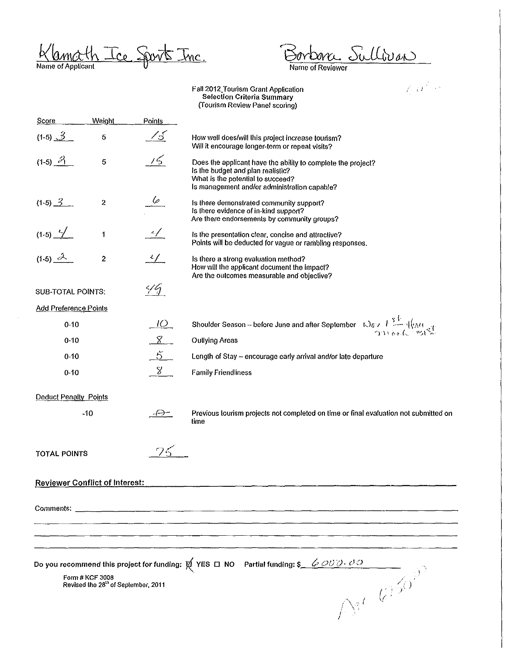Klamath Ice Sports Inc.

 $\sim$ 

Borbanc Sullivan

 $\mathbf{I}$ 

Faii2012\_Tourism Grant Application **Selection Criteria Summary (Tourism Review Panel scoring)** 

|                                                                                                                                                                                                                                                                                                                     |                |               | (Tombur Preview Fanci Seothig)                                                                                                                                                                                                                                                                   |
|---------------------------------------------------------------------------------------------------------------------------------------------------------------------------------------------------------------------------------------------------------------------------------------------------------------------|----------------|---------------|--------------------------------------------------------------------------------------------------------------------------------------------------------------------------------------------------------------------------------------------------------------------------------------------------|
| <b>Score</b>                                                                                                                                                                                                                                                                                                        | Weight         | Points        |                                                                                                                                                                                                                                                                                                  |
| $(1-5)$ $3$                                                                                                                                                                                                                                                                                                         | $\sqrt{5}$     | <u> 18</u>    | How well does/will this project increase tourism?<br>Will it encourage longer-term or repeat visits?                                                                                                                                                                                             |
| $(1-5)$ $\frac{3}{1}$                                                                                                                                                                                                                                                                                               | 5              | 15            | Does the applicant have the ability to complete the project?<br>Is the budget and plan realistic?<br>What is the potential to succeed?<br>Is management and/or administration capable?                                                                                                           |
| $(1-5)$ $3$                                                                                                                                                                                                                                                                                                         | $\overline{2}$ | $\frac{6}{1}$ | Is there demonstrated community support?<br>Is there evidence of in-kind support?<br>Are there endorsements by community groups?                                                                                                                                                                 |
| $(1-5)$ $\frac{\sqrt{}}{2}$                                                                                                                                                                                                                                                                                         | 1              | $\mathscr{A}$ | Is the presentation clear, concise and attractive?<br>Points will be deducted for vague or rambling responses.                                                                                                                                                                                   |
| $(1-5)$ $2$                                                                                                                                                                                                                                                                                                         | $\overline{2}$ |               | Is there a strong evaluation method?<br>How will the applicant document the impact?<br>Are the outcomes measurable and objective?                                                                                                                                                                |
| <b>SUB-TOTAL POINTS:</b>                                                                                                                                                                                                                                                                                            |                | 49            |                                                                                                                                                                                                                                                                                                  |
| <b>Add Preference Points</b>                                                                                                                                                                                                                                                                                        |                |               |                                                                                                                                                                                                                                                                                                  |
| $0 - 10$                                                                                                                                                                                                                                                                                                            |                | $1$ ()        | Shoulder Season -- before June and after September $\frac{1}{2}$ $\frac{1}{2}$ $\frac{1}{2}$ $\frac{1}{2}$ $\frac{1}{2}$ $\frac{1}{2}$ $\frac{1}{2}$ $\frac{1}{2}$ $\frac{1}{2}$ $\frac{1}{2}$ $\frac{1}{2}$ $\frac{1}{2}$ $\frac{1}{2}$ $\frac{1}{2}$ $\frac{1}{2}$ $\frac{1}{2}$ $\frac{1}{2}$ |
| $0 - 10$                                                                                                                                                                                                                                                                                                            |                | $\frac{8}{ }$ | <b>Oullying Areas</b>                                                                                                                                                                                                                                                                            |
| $0 - 10$                                                                                                                                                                                                                                                                                                            |                | $\frac{5}{2}$ | Length of Stay - encourage early arrival and/or late departure                                                                                                                                                                                                                                   |
| $0 - 10$                                                                                                                                                                                                                                                                                                            |                | $8^{\circ}$   | <b>Family Friendliness</b>                                                                                                                                                                                                                                                                       |
| Deduct Penalty Points                                                                                                                                                                                                                                                                                               |                |               |                                                                                                                                                                                                                                                                                                  |
|                                                                                                                                                                                                                                                                                                                     | $-10$          | -{--}--       | Previous tourism projects not completed on time or final evaluation not submitted on<br>time                                                                                                                                                                                                     |
| <b>TOTAL POINTS</b>                                                                                                                                                                                                                                                                                                 |                |               |                                                                                                                                                                                                                                                                                                  |
| <b>Reviewer Conflict of Interest:</b>                                                                                                                                                                                                                                                                               |                |               |                                                                                                                                                                                                                                                                                                  |
|                                                                                                                                                                                                                                                                                                                     |                |               |                                                                                                                                                                                                                                                                                                  |
|                                                                                                                                                                                                                                                                                                                     |                |               |                                                                                                                                                                                                                                                                                                  |
|                                                                                                                                                                                                                                                                                                                     |                |               |                                                                                                                                                                                                                                                                                                  |
| Do you recommend this project for funding: $\not\!\!\!\!/\,\,\bigvee\, YES \,\,\Box\,\, NO \quad \, \text{Partial funding: } \S \_\!\!\!\! \quad \phi \,\mathcal{O} \partial \overline{\partial} \partial \overline{\partial}$<br>$\Delta^{st}$ $k^{150}$<br>Form # KCF 3008<br>Revised the 28th of September, 2011 |                |               |                                                                                                                                                                                                                                                                                                  |
|                                                                                                                                                                                                                                                                                                                     |                |               |                                                                                                                                                                                                                                                                                                  |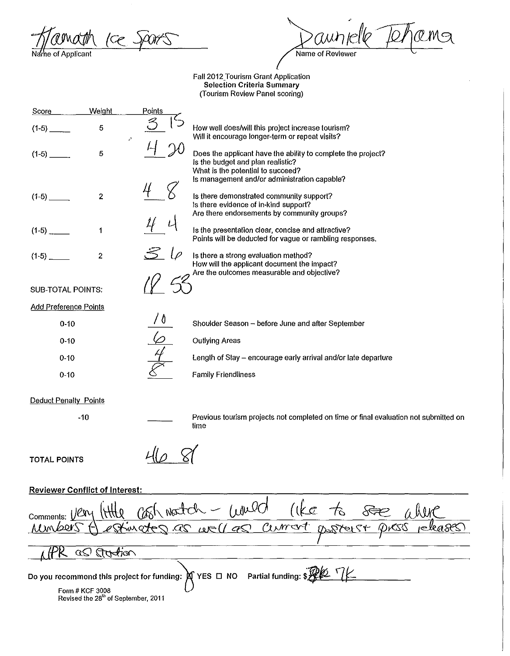|æ . ie of Applicani

Name of Reviewer

Fall 2012 Tourism Grant Application Selection Criteria Summary (Tourism Review Panel scoring)

| Score                        | Weight         | Points |                                                                                                                                                                                  |
|------------------------------|----------------|--------|----------------------------------------------------------------------------------------------------------------------------------------------------------------------------------|
| $(1-5)$ .                    | 5<br>$\ell^2$  |        | How well does/will this project increase tourism?<br>Will it encourage longer-term or repeat visits?                                                                             |
| $(1-5)$                      | 5              |        | Does the applicant have the ability to complete the project?<br>Is the budget and plan realistic?<br>What is the potential to succeed?                                           |
| $(1-5)$                      | $\overline{2}$ |        | Is management and/or administration capable?<br>Is there demonstrated community support?<br>Is there evidence of in-kind support?<br>Are there endorsements by community groups? |
| $(1-5)$                      | 1              |        | Is the presentation clear, concise and attractive?<br>Points will be deducted for vague or rambling responses.                                                                   |
| $(1-5)$                      | $\overline{2}$ |        | Is there a strong evaluation method?<br>How will the applicant document the impact?                                                                                              |
| <b>SUB-TOTAL POINTS:</b>     |                |        | Are the outcomes measurable and objective?                                                                                                                                       |
| <b>Add Preference Points</b> |                |        |                                                                                                                                                                                  |
| $0 - 10$                     |                |        | Shoulder Season - before June and after September                                                                                                                                |
| $0 - 10$                     |                |        | <b>Outlying Areas</b>                                                                                                                                                            |
| $0 - 10$                     |                |        | Length of Stay - encourage early arrival and/or late departure                                                                                                                   |
| $0 - 10$                     |                |        | <b>Family Friendliness</b>                                                                                                                                                       |
|                              |                |        |                                                                                                                                                                                  |

## Deduct Penalty Points

-10

Previous tourism projects not completed on time or final evaluation not submitted on time

TOTAL POINTS

468

## Reviewer Conflict of Interest:

Comments: <u>Very (Http</u> Cosh Nostch - Would (ke to See 1  $\overline{a}$ *Q a*  $\overline{a}$  *dia* YES  $\square$  NO Partial funding:  $$\mathcal{R}\&\mathcal{V}$ Do you recommend this project for funding:  $\bigotimes$ <br>Form # KCF 3008 Revised the 28<sup>th</sup> of September, 2011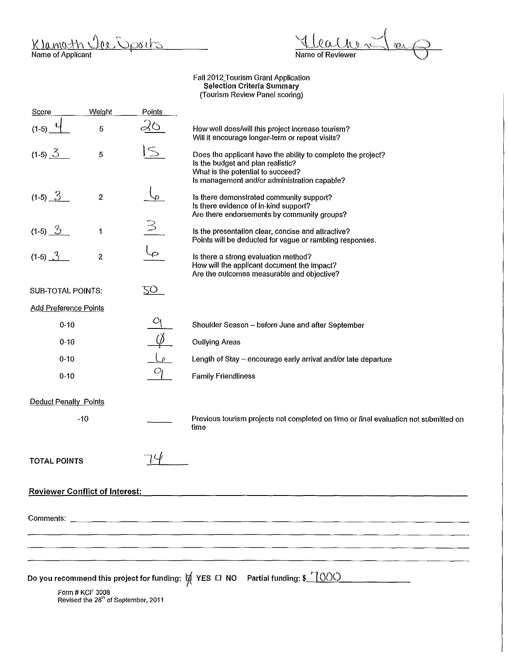<u>ar Dports</u> Klamath

 $\mathfrak{h}$  $u_{2}$ Name of Reviewer

Faii2012\_Tourism Grant Application Selection Criteria Summary (Tourism Review Panel scoring)

| Score                                                                                                                                                                                          | Weight | Points     |                                                                                                                                                                                        |
|------------------------------------------------------------------------------------------------------------------------------------------------------------------------------------------------|--------|------------|----------------------------------------------------------------------------------------------------------------------------------------------------------------------------------------|
| $(1-5)$                                                                                                                                                                                        | 5      |            | How well does/will this project increase tourism?<br>Will it encourage longer-term or repeat visits?                                                                                   |
| $(1-5)$ $\frac{3}{2}$                                                                                                                                                                          | 5      |            | Does the applicant have the ability to complete the project?<br>Is the budget and plan realistic?<br>What is the potential to succeed?<br>Is management and/or administration capable? |
| $(1-5)$ $3$                                                                                                                                                                                    | 2      |            | Is there demonstrated community support?<br>Is there evidence of in-kind support?<br>Are there endorsements by community groups?                                                       |
| $(1-5)$ $\frac{3}{2}$                                                                                                                                                                          | 1      |            | Is the presentation clear, concise and attractive?<br>Points will be deducted for vague or rambling responses.                                                                         |
| $(1-5)$ $3$                                                                                                                                                                                    | 2      |            | Is there a strong evaluation method?<br>How will the applicant document the impact?<br>Are the outcomes measurable and objective?                                                      |
| <b>SUB-TOTAL POINTS:</b>                                                                                                                                                                       |        | <u>TO </u> |                                                                                                                                                                                        |
| <b>Add Preference Points</b>                                                                                                                                                                   |        |            |                                                                                                                                                                                        |
| $0 - 10$                                                                                                                                                                                       |        | Ο          | Shoulder Season - before June and after September                                                                                                                                      |
| $0 - 10$                                                                                                                                                                                       |        |            | <b>Outlying Areas</b>                                                                                                                                                                  |
| $0 - 10$                                                                                                                                                                                       |        |            | Length of Stay - encourage early arrival and/or late departure                                                                                                                         |
| $0 - 10$                                                                                                                                                                                       |        | $O_1$      | <b>Family Friendliness</b>                                                                                                                                                             |
| <b>Deduct Penalty Points</b>                                                                                                                                                                   |        |            |                                                                                                                                                                                        |
| $-10$                                                                                                                                                                                          |        |            | Previous tourism projects not completed on time or final evaluation not submitted on<br>time                                                                                           |
| <b>TOTAL POINTS</b>                                                                                                                                                                            |        |            |                                                                                                                                                                                        |
| <b>Reviewer Conflict of Interest:</b>                                                                                                                                                          |        |            |                                                                                                                                                                                        |
|                                                                                                                                                                                                |        |            |                                                                                                                                                                                        |
|                                                                                                                                                                                                |        |            |                                                                                                                                                                                        |
|                                                                                                                                                                                                |        |            |                                                                                                                                                                                        |
|                                                                                                                                                                                                |        |            |                                                                                                                                                                                        |
| Do you recommend this project for funding: $\cancel{\nabla}$ YES $\Box$ NO Partial funding: \$_ <u>_( <math>\Diamond</math> ) ()</u><br>Form # KCF 3008<br>Revised the 28th of September, 2011 |        |            |                                                                                                                                                                                        |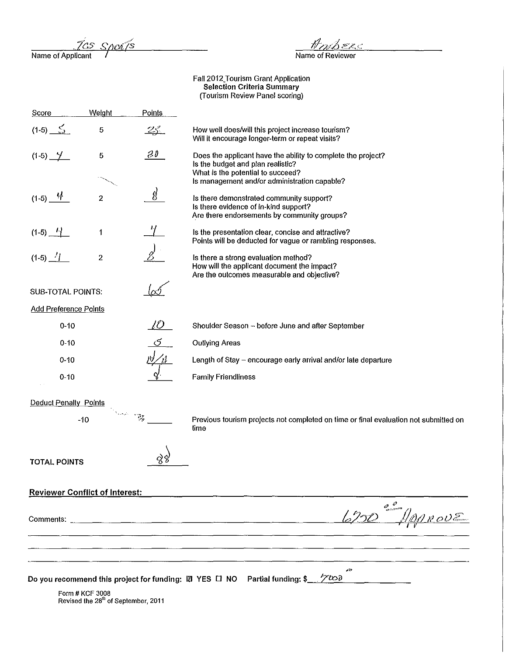<u>Sports</u> Name of Applicant

 $\frac{\#D}{\#D}$ 

Fall 2012 Tourism Grant Application Selection Criteria Summary (Tourism Review Panel scoring)

 $\begin{array}{ccccccccccccc} \multicolumn{3}{c}{} & \multicolumn{3}{c}{} & \multicolumn{3}{c}{} & \multicolumn{3}{c}{} & \multicolumn{3}{c}{} & \multicolumn{3}{c}{} & \multicolumn{3}{c}{} & \multicolumn{3}{c}{} & \multicolumn{3}{c}{} & \multicolumn{3}{c}{} & \multicolumn{3}{c}{} & \multicolumn{3}{c}{} & \multicolumn{3}{c}{} & \multicolumn{3}{c}{} & \multicolumn{3}{c}{} & \multicolumn{3}{c}{} & \multicolumn{3}{c}{} & \multicolumn{3}{c}{} & \multicolumn{3}{c}{} & \$ 

| Score                                 | Weight                                                 | Points            |                                                                                                                                                                                        |
|---------------------------------------|--------------------------------------------------------|-------------------|----------------------------------------------------------------------------------------------------------------------------------------------------------------------------------------|
| $(1-5)$ $5$                           | 5                                                      | <u>25. </u>       | How well does/will this project increase tourism?<br>Will it encourage longer-term or repeat visits?                                                                                   |
| $(1-5)$ —                             | 5                                                      | $\partial \theta$ | Does the applicant have the ability to complete the project?<br>Is the budget and plan realistic?<br>What is the potential to succeed?<br>Is management and/or administration capable? |
| $(1-5)$ $4$                           | $\boldsymbol{2}$                                       | g)                | Is there demonstrated community support?<br>Is there evidence of in-kind support?<br>Are there endorsements by community groups?                                                       |
| $(1-5)$ $-1$                          | 1                                                      |                   | Is the presentation clear, concise and attractive?<br>Points will be deducted for vague or rambling responses.                                                                         |
| $(1-5)$ $-1$                          | $\overline{2}$                                         |                   | Is there a strong evaluation method?<br>How will the applicant document the impact?<br>Are the outcomes measurable and objective?                                                      |
| <b>SUB-TOTAL POINTS:</b>              |                                                        |                   |                                                                                                                                                                                        |
| <b>Add Preference Points</b>          |                                                        |                   |                                                                                                                                                                                        |
| $0 - 10$                              |                                                        | 10                | Shoulder Season - before June and after September                                                                                                                                      |
| $0 - 10$                              |                                                        |                   | <b>Outlying Areas</b>                                                                                                                                                                  |
| $0 - 10$                              |                                                        |                   | Length of Stay - encourage early arrival and/or late departure                                                                                                                         |
| $0 - 10$                              |                                                        |                   | <b>Family Friendliness</b>                                                                                                                                                             |
| <b>Deduct Penalty Points</b>          |                                                        |                   |                                                                                                                                                                                        |
|                                       | $-10$                                                  | $\mathbb{R}^+$    | Previous tourism projects not completed on time or final evaluation not submitted on<br>time                                                                                           |
| <b>TOTAL POINTS</b>                   |                                                        |                   |                                                                                                                                                                                        |
| <b>Reviewer Conflict of Interest:</b> |                                                        |                   |                                                                                                                                                                                        |
|                                       |                                                        |                   |                                                                                                                                                                                        |
|                                       |                                                        |                   |                                                                                                                                                                                        |
|                                       |                                                        |                   |                                                                                                                                                                                        |
|                                       |                                                        |                   | 40<br>Do you recommend this project for funding: <b>Z</b> YES $\Box$ NO Partial funding: \$<br>$\gamma$ tod                                                                            |
|                                       | Form # KCF 3008<br>Revised the 28th of September, 2011 |                   |                                                                                                                                                                                        |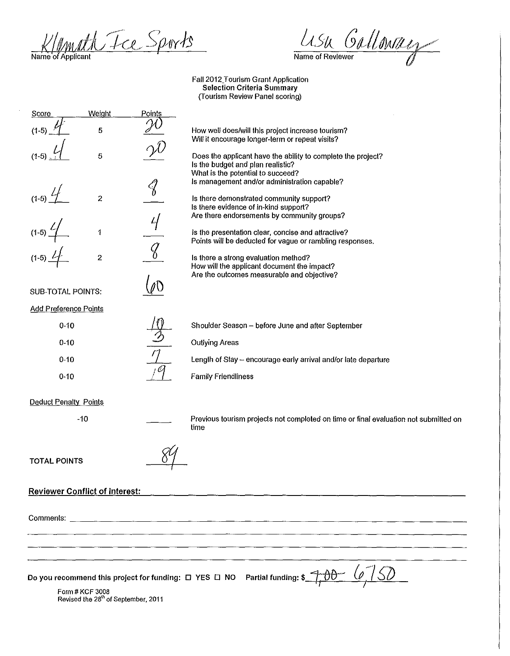rath Tce Sports Name of Applicant

a Galloway Name of Reviewer

Fall 2012 Tourism Grant Application Selection Criteria Summary (Tourism Review Panel scoring)

Score  $(1-5)$ (1-5)  $1$  $(1-5)$   $1$ .  $(1-5)$ (1-5) $4$ **Weight** 5 5 2 1 2 SUB-TOTAL POINTS: Add Preference Points 0-10 0-10 0-10 0-10 Deduct Penalty Points -10 TOTAL POINTS Reviewer Conflict of Interest: Points  $4/$ How well does/will this project increase tourism? Will it encourage longer-term or repeat visits? Does the applicant have the ability to complete the project? Is the budget and plan realistic? What is the potential to succeed? Is management and/or administration capable? Is there demonstrated community support? Is there evidence of in-kind support? Are there endorsements by community groups? Is the presentation clear, concise and attractive? Points will be deducted for vague or rambling responses. Is there a strong evaluation method? How will the applicant document the impact? Are the outcomes measurable and objective? Shoulder Season- before June and after September Outlying Areas Length of Stay- encourage early arrival and/or late departure Family Friendliness Previous tourism projects not completed on time or final evaluation not submitted on time Comments: ------------------------------------------------------------------------------------ Do you recommend this project for funding:  $\Box$  YES  $\Box$  NO Form# KCF 3008 Revised the 28<sup>th</sup> of September, 2011 Partial funding: \$ 1;00- {~ -~ *(;{)* I